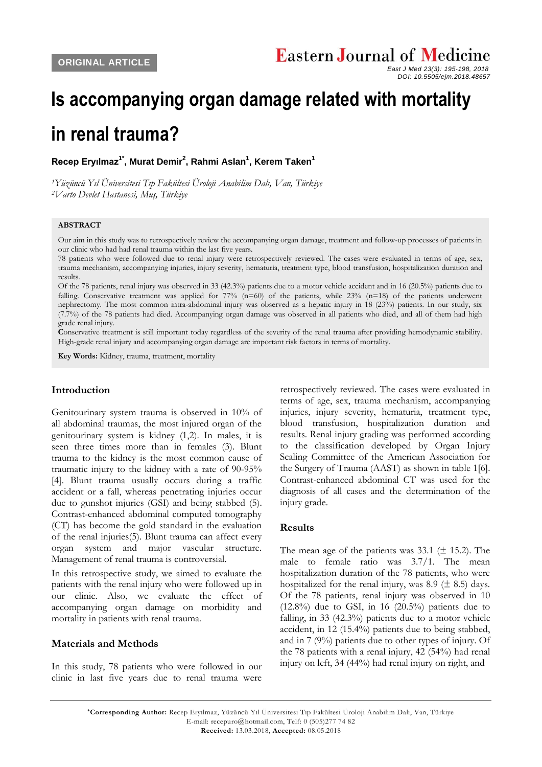# **Is accompanying organ damage related with mortality in renal trauma?**

**Recep Eryılmaz1\* , Murat Demir<sup>2</sup> , Rahmi Aslan<sup>1</sup> , Kerem Taken<sup>1</sup>**

*<sup>1</sup>Yüzüncü Yıl Üniversitesi Tıp Fakültesi Üroloji Anabilim Dalı, Van, Türkiye <sup>2</sup>Varto Devlet Hastanesi, Muş, Türkiye*

# **ABSTRACT**

Our aim in this study was to retrospectively review the accompanying organ damage, treatment and follow-up processes of patients in our clinic who had had renal trauma within the last five years.

78 patients who were followed due to renal injury were retrospectively reviewed. The cases were evaluated in terms of age, sex, trauma mechanism, accompanying injuries, injury severity, hematuria, treatment type, blood transfusion, hospitalization duration and results.

Of the 78 patients, renal injury was observed in 33 (42.3%) patients due to a motor vehicle accident and in 16 (20.5%) patients due to falling. Conservative treatment was applied for  $77\%$  (n=60) of the patients, while  $23\%$  (n=18) of the patients underwent nephrectomy. The most common intra-abdominal injury was observed as a hepatic injury in 18 (23%) patients. In our study, six (7.7%) of the 78 patients had died. Accompanying organ damage was observed in all patients who died, and all of them had high grade renal injury.

**C**onservative treatment is still important today regardless of the severity of the renal trauma after providing hemodynamic stability. High-grade renal injury and accompanying organ damage are important risk factors in terms of mortality.

**Key Words:** Kidney, trauma, treatment, mortality

#### **Introduction**

Genitourinary system trauma is observed in 10% of all abdominal traumas, the most injured organ of the genitourinary system is kidney (1,2). In males, it is seen three times more than in females (3). Blunt trauma to the kidney is the most common cause of traumatic injury to the kidney with a rate of 90-95% [4]. Blunt trauma usually occurs during a traffic accident or a fall, whereas penetrating injuries occur due to gunshot injuries (GSI) and being stabbed (5). Contrast-enhanced abdominal computed tomography (CT) has become the gold standard in the evaluation of the renal injuries(5). Blunt trauma can affect every organ system and major vascular structure. Management of renal trauma is controversial.

In this retrospective study, we aimed to evaluate the patients with the renal injury who were followed up in our clinic. Also, we evaluate the effect of accompanying organ damage on morbidity and mortality in patients with renal trauma.

### **Materials and Methods**

In this study, 78 patients who were followed in our clinic in last five years due to renal trauma were

retrospectively reviewed. The cases were evaluated in terms of age, sex, trauma mechanism, accompanying injuries, injury severity, hematuria, treatment type, blood transfusion, hospitalization duration and results. Renal injury grading was performed according to the classification developed by Organ Injury Scaling Committee of the American Association for the Surgery of Trauma (AAST) as shown in table 1[6]. Contrast-enhanced abdominal CT was used for the diagnosis of all cases and the determination of the injury grade.

#### **Results**

The mean age of the patients was  $33.1 \ (\pm 15.2)$ . The male to female ratio was 3.7/1. The mean hospitalization duration of the 78 patients, who were hospitalized for the renal injury, was 8.9 ( $\pm$  8.5) days. Of the 78 patients, renal injury was observed in 10  $(12.8\%)$  due to GSI, in 16  $(20.5\%)$  patients due to falling, in 33 (42.3%) patients due to a motor vehicle accident, in 12 (15.4%) patients due to being stabbed, and in 7 (9%) patients due to other types of injury. Of the 78 patients with a renal injury, 42 (54%) had renal injury on left, 34 (44%) had renal injury on right, and

*East J Med 23(3): 195-198, 2018 DOI: 10.5505/ejm.2018.48657*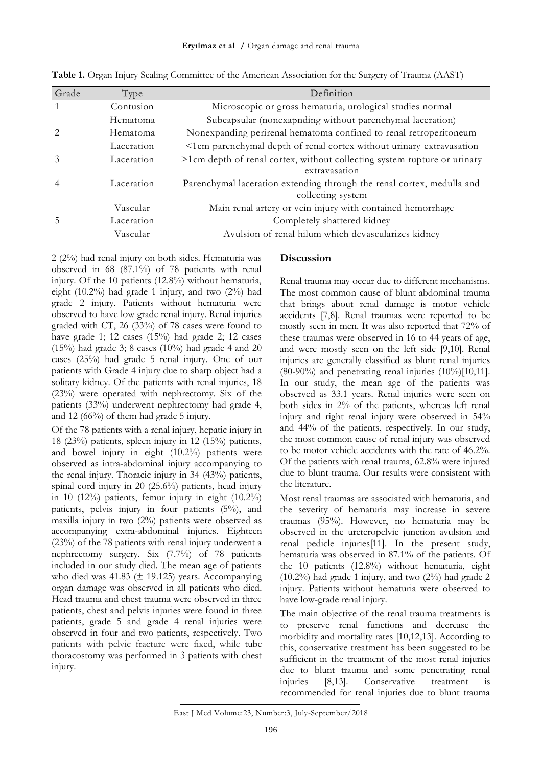| Grade          | Type       | Definition                                                               |
|----------------|------------|--------------------------------------------------------------------------|
|                | Contusion  | Microscopic or gross hematuria, urological studies normal                |
|                | Hematoma   | Subcapsular (nonexapnding without parenchymal laceration)                |
|                | Hematoma   | Nonexpanding perirenal hematoma confined to renal retroperitoneum        |
|                | Laceration | <1cm parenchymal depth of renal cortex without urinary extravasation     |
| $\mathcal{Z}$  | Laceration | >1cm depth of renal cortex, without collecting system rupture or urinary |
|                |            | extravasation                                                            |
| $\overline{4}$ | Laceration | Parenchymal laceration extending through the renal cortex, medulla and   |
|                |            | collecting system                                                        |
|                | Vascular   | Main renal artery or vein injury with contained hemorrhage               |
|                | Laceration | Completely shattered kidney                                              |
|                | Vascular   | Avulsion of renal hilum which devascularizes kidney                      |

**Table 1.** Organ Injury Scaling Committee of the American Association for the Surgery of Trauma (AAST)

2 (2%) had renal injury on both sides. Hematuria was observed in 68 (87.1%) of 78 patients with renal injury. Of the 10 patients (12.8%) without hematuria, eight (10.2%) had grade 1 injury, and two (2%) had grade 2 injury. Patients without hematuria were observed to have low grade renal injury. Renal injuries graded with CT, 26 (33%) of 78 cases were found to have grade 1; 12 cases (15%) had grade 2; 12 cases  $(15%)$  had grade 3; 8 cases  $(10%)$  had grade 4 and 20 cases (25%) had grade 5 renal injury. One of our patients with Grade 4 injury due to sharp object had a solitary kidney. Of the patients with renal injuries, 18 (23%) were operated with nephrectomy. Six of the patients (33%) underwent nephrectomy had grade 4, and 12 (66%) of them had grade 5 injury.

Of the 78 patients with a renal injury, hepatic injury in 18 (23%) patients, spleen injury in 12 (15%) patients, and bowel injury in eight (10.2%) patients were observed as intra-abdominal injury accompanying to the renal injury. Thoracic injury in 34 (43%) patients, spinal cord injury in 20 (25.6%) patients, head injury in 10  $(12\%)$  patients, femur injury in eight  $(10.2\%)$ patients, pelvis injury in four patients (5%), and maxilla injury in two (2%) patients were observed as accompanying extra-abdominal injuries. Eighteen (23%) of the 78 patients with renal injury underwent a nephrectomy surgery. Six (7.7%) of 78 patients included in our study died. The mean age of patients who died was 41.83  $(\pm 19.125)$  years. Accompanying organ damage was observed in all patients who died. Head trauma and chest trauma were observed in three patients, chest and pelvis injuries were found in three patients, grade 5 and grade 4 renal injuries were observed in four and two patients, respectively. Two patients with pelvic fracture were fixed, while tube thoracostomy was performed in 3 patients with chest injury.

# **Discussion**

Renal trauma may occur due to different mechanisms. The most common cause of blunt abdominal trauma that brings about renal damage is motor vehicle accidents [7,8]. Renal traumas were reported to be mostly seen in men. It was also reported that 72% of these traumas were observed in 16 to 44 years of age, and were mostly seen on the left side [9,10]. Renal injuries are generally classified as blunt renal injuries (80-90%) and penetrating renal injuries (10%)[10,11]. In our study, the mean age of the patients was observed as 33.1 years. Renal injuries were seen on both sides in 2% of the patients, whereas left renal injury and right renal injury were observed in 54% and 44% of the patients, respectively. In our study, the most common cause of renal injury was observed to be motor vehicle accidents with the rate of 46.2%. Of the patients with renal trauma, 62.8% were injured due to blunt trauma. Our results were consistent with the literature.

Most renal traumas are associated with hematuria, and the severity of hematuria may increase in severe traumas (95%). However, no hematuria may be observed in the ureteropelvic junction avulsion and renal pedicle injuries[11]. In the present study, hematuria was observed in 87.1% of the patients. Of the 10 patients (12.8%) without hematuria, eight (10.2%) had grade 1 injury, and two (2%) had grade 2 injury. Patients without hematuria were observed to have low-grade renal injury.

The main objective of the renal trauma treatments is to preserve renal functions and decrease the morbidity and mortality rates [10,12,13]. According to this, conservative treatment has been suggested to be sufficient in the treatment of the most renal injuries due to blunt trauma and some penetrating renal injuries [8,13]. Conservative treatment is recommended for renal injuries due to blunt trauma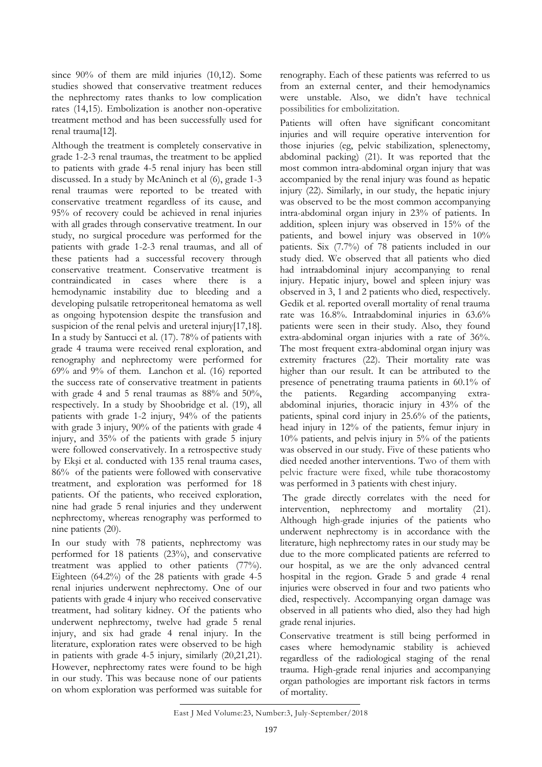since 90% of them are mild injuries (10,12). Some studies showed that conservative treatment reduces the nephrectomy rates thanks to low complication rates (14,15). Embolization is another non-operative treatment method and has been successfully used for renal trauma[12].

Although the treatment is completely conservative in grade 1-2-3 renal traumas, the treatment to be applied to patients with grade 4-5 renal injury has been still discussed. In a study by McAninch et al (6), grade 1-3 renal traumas were reported to be treated with conservative treatment regardless of its cause, and 95% of recovery could be achieved in renal injuries with all grades through conservative treatment. In our study, no surgical procedure was performed for the patients with grade 1-2-3 renal traumas, and all of these patients had a successful recovery through conservative treatment. Conservative treatment is contraindicated in cases where there is a hemodynamic instability due to bleeding and a developing pulsatile retroperitoneal hematoma as well as ongoing hypotension despite the transfusion and suspicion of the renal pelvis and ureteral injury[17,18]. In a study by Santucci et al. (17). 78% of patients with grade 4 trauma were received renal exploration, and renography and nephrectomy were performed for 69% and 9% of them. Lanchon et al. (16) reported the success rate of conservative treatment in patients with grade 4 and 5 renal traumas as 88% and 50%, respectively. In a study by Shoobridge et al. (19), all patients with grade 1-2 injury, 94% of the patients with grade 3 injury, 90% of the patients with grade 4 injury, and 35% of the patients with grade 5 injury were followed conservatively. In a retrospective study by Ekşi et al. conducted with 135 renal trauma cases, 86% of the patients were followed with conservative treatment, and exploration was performed for 18 patients. Of the patients, who received exploration, nine had grade 5 renal injuries and they underwent nephrectomy, whereas renography was performed to nine patients (20).

In our study with 78 patients, nephrectomy was performed for 18 patients (23%), and conservative treatment was applied to other patients (77%). Eighteen (64.2%) of the 28 patients with grade 4-5 renal injuries underwent nephrectomy. One of our patients with grade 4 injury who received conservative treatment, had solitary kidney. Of the patients who underwent nephrectomy, twelve had grade 5 renal injury, and six had grade 4 renal injury. In the literature, exploration rates were observed to be high in patients with grade 4-5 injury, similarly (20,21,21). However, nephrectomy rates were found to be high in our study. This was because none of our patients on whom exploration was performed was suitable for

renography. Each of these patients was referred to us from an external center, and their hemodynamics were unstable. Also, we didn't have technical possibilities for embolizitation.

Patients will often have significant concomitant injuries and will require operative intervention for those injuries (eg, pelvic stabilization, splenectomy, abdominal packing) (21). It was reported that the most common intra-abdominal organ injury that was accompanied by the renal injury was found as hepatic injury (22). Similarly, in our study, the hepatic injury was observed to be the most common accompanying intra-abdominal organ injury in 23% of patients. In addition, spleen injury was observed in 15% of the patients, and bowel injury was observed in 10% patients. Six (7.7%) of 78 patients included in our study died. We observed that all patients who died had intraabdominal injury accompanying to renal injury. Hepatic injury, bowel and spleen injury was observed in 3, 1 and 2 patients who died, respectively. Gedik et al. reported overall mortality of renal trauma rate was 16.8%. Intraabdominal injuries in 63.6% patients were seen in their study. Also, they found extra-abdominal organ injuries with a rate of 36%. The most frequent extra-abdominal organ injury was extremity fractures (22). Their mortality rate was higher than our result. It can be attributed to the presence of penetrating trauma patients in 60.1% of the patients. Regarding accompanying extraabdominal injuries, thoracic injury in 43% of the patients, spinal cord injury in 25.6% of the patients, head injury in 12% of the patients, femur injury in 10% patients, and pelvis injury in 5% of the patients was observed in our study. Five of these patients who died needed another interventions. Two of them with pelvic fracture were fixed, while tube thoracostomy was performed in 3 patients with chest injury.

The grade directly correlates with the need for intervention, nephrectomy and mortality (21). Although high-grade injuries of the patients who underwent nephrectomy is in accordance with the literature, high nephrectomy rates in our study may be due to the more complicated patients are referred to our hospital, as we are the only advanced central hospital in the region. Grade 5 and grade 4 renal injuries were observed in four and two patients who died, respectively. Accompanying organ damage was observed in all patients who died, also they had high grade renal injuries.

Conservative treatment is still being performed in cases where hemodynamic stability is achieved regardless of the radiological staging of the renal trauma. High-grade renal injuries and accompanying organ pathologies are important risk factors in terms of mortality.